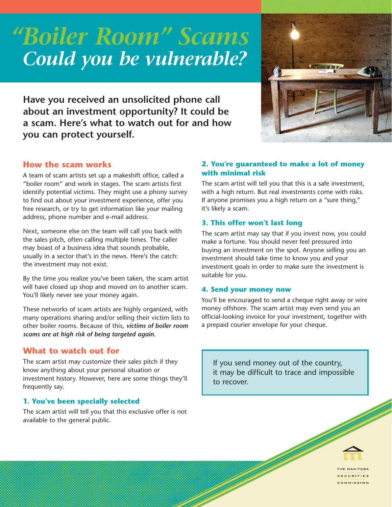# *"Boiler Room" Scams Could you be vulnerable?*



**Have you received an unsolicited phone call about an investment opportunity? It could be a scam. Here's what to watch out for and how you can protect yourself.**

# **How the scam works**

A team of scam artists set up a makeshift office, called a "boiler room" and work in stages. The scam artists first identify potential victims. They might use a phony survey to find out about your investment experience, offer you free research, or try to get information like your mailing address, phone number and e-mail address.

Next, someone else on the team will call you back with the sales pitch, often calling multiple times. The caller may boast of a business idea that sounds probable, usually in a sector that's in the news. Here's the catch: the investment may not exist.

By the time you realize you've been taken, the scam artist will have closed up shop and moved on to another scam. You'll likely never see your money again.

These networks of scam artists are highly organized, with many operations sharing and/or selling their victim lists to other boiler rooms. Because of this, *victims of boiler room scams are at high risk of being targeted again.*

# **What to watch out for**

The scam artist may customize their sales pitch if they know anything about your personal situation or investment history. However, here are some things they'll frequently say.

# **1. You've been specially selected**

The scam artist will tell you that this exclusive offer is not available to the general public.

## **2. You're guaranteed to make a lot of money with minimal risk**

The scam artist will tell you that this is a safe investment, with a high return. But real investments come with risks. If anyone promises you a high return on a "sure thing," it's likely a scam.

## **3. This offer won't last long**

The scam artist may say that if you invest now, you could make a fortune. You should never feel pressured into buying an investment on the spot. Anyone selling you an investment should take time to know you and your investment goals in order to make sure the investment is suitable for you.

### **4. Send your money now**

You'll be encouraged to send a cheque right away or wire money offshore. The scam artist may even send you an official-looking invoice for your investment, together with a prepaid courier envelope for your cheque.

If you send money out of the country, it may be difficult to trace and impossible to recover.



HE MANITOBA **ECURITIES** COMMISSION